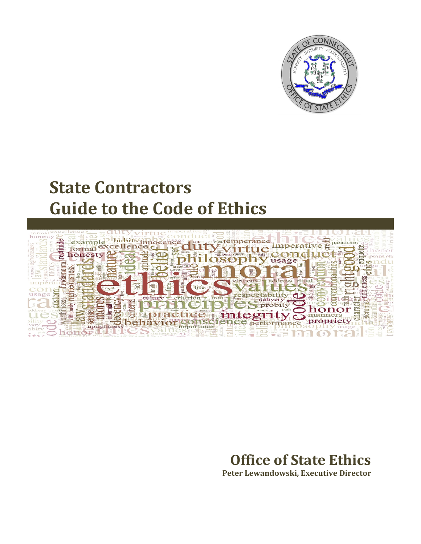

# **State Contractors Guide to the Code of Ethics**



# **Office of State Ethics Peter Lewandowski, Executive Director**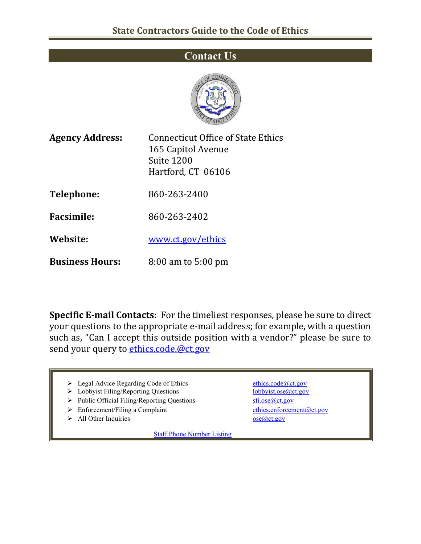# **Contact Us**



| <b>Agency Address:</b> | Connecticut Office of State Ethics<br>165 Capitol Avenue<br>Suite 1200<br>Hartford, CT 06106 |
|------------------------|----------------------------------------------------------------------------------------------|
| Telephone:             | 860-263-2400                                                                                 |
| <b>Facsimile:</b>      | 860-263-2402                                                                                 |
| Website:               | www.ct.gov/ethics                                                                            |
| <b>Business Hours:</b> | $8:00$ am to $5:00$ pm                                                                       |

**Specific E-mail Contacts:** For the timeliest responses, please be sure to direct your questions to the appropriate e-mail address; for example, with a question such as, "Can I accept this outside position with a vendor?" please be sure to send your query to [ethics.code.@ct.gov](mailto:ethics.code.@ct.gov)

- → Legal Advice Regarding Code of Ethics [ethics.code@ct.gov](mailto:ethics.code@ct.gov)<br>
→ Lobbyist Filing/Reporting Questions bobbyist.ose@ct.gov
- $\triangleright$  Lobbyist Filing/Reporting Questions
- > Public Official Filing/Reporting Questions [sfi.ose@ct.gov](mailto:sfi.ose@ct.gov)
- ▶ Enforcement/Filing a Complaint [ethics.enforcement@ct.gov](mailto:ethics.enforcement@ct.gov)
- $\triangleright$  All Other Inquiries ose $@ct.gov$

[Staff Phone Number Listing](http://www.ct.gov/ethics/cwp/view.asp?a=3507&q=414898)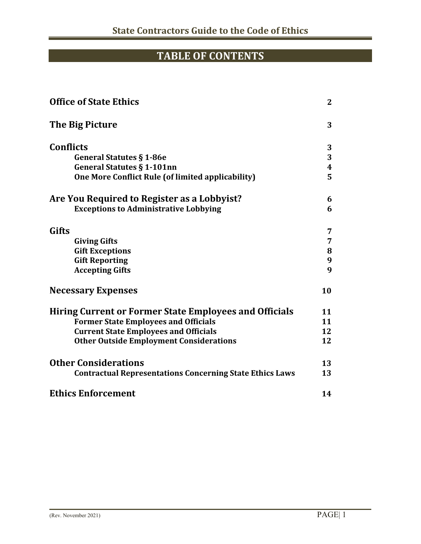# **TABLE OF CONTENTS**

| <b>Office of State Ethics</b>                                   |                  |
|-----------------------------------------------------------------|------------------|
| The Big Picture                                                 | 3                |
| <b>Conflicts</b>                                                | 3                |
| <b>General Statutes § 1-86e</b>                                 | 3                |
| <b>General Statutes § 1-101nn</b>                               | $\boldsymbol{4}$ |
| One More Conflict Rule (of limited applicability)               | 5                |
| Are You Required to Register as a Lobbyist?                     | 6                |
| <b>Exceptions to Administrative Lobbying</b>                    | 6                |
| Gifts                                                           | 7                |
| <b>Giving Gifts</b>                                             | 7                |
| <b>Gift Exceptions</b>                                          | 8                |
| <b>Gift Reporting</b>                                           | 9                |
| <b>Accepting Gifts</b>                                          | 9                |
| <b>Necessary Expenses</b>                                       | 10               |
| <b>Hiring Current or Former State Employees and Officials</b>   | 11               |
| <b>Former State Employees and Officials</b>                     | 11               |
| <b>Current State Employees and Officials</b>                    | 12               |
| <b>Other Outside Employment Considerations</b>                  | 12               |
| <b>Other Considerations</b>                                     | 13               |
| <b>Contractual Representations Concerning State Ethics Laws</b> | 13               |
| <b>Ethics Enforcement</b>                                       | 14               |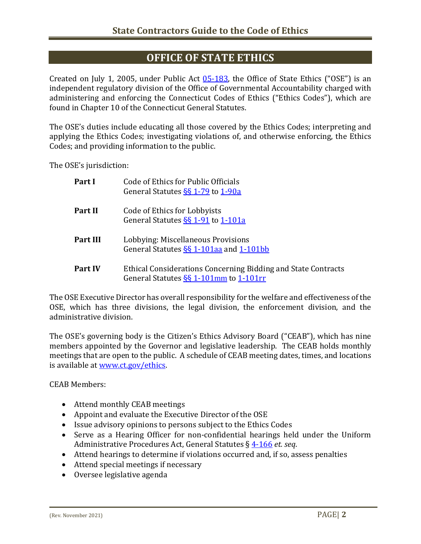## **OFFICE OF STATE ETHICS**

Created on July 1, 2005, under Public Act [05-183,](http://www.cga.ct.gov/2005/act/Pa/2005PA-00183-R00SB-00001-PA.htm) the Office of State Ethics ("OSE") is an independent regulatory division of the Office of Governmental Accountability charged with administering and enforcing the Connecticut Codes of Ethics ("Ethics Codes"), which are found in Chapter 10 of the Connecticut General Statutes.

The OSE's duties include educating all those covered by the Ethics Codes; interpreting and applying the Ethics Codes; investigating violations of, and otherwise enforcing, the Ethics Codes; and providing information to the public.

The OSE's jurisdiction:

| Part I         | Code of Ethics for Public Officials<br>General Statutes SS 1-79 to 1-90a                                  |
|----------------|-----------------------------------------------------------------------------------------------------------|
| Part II        | Code of Ethics for Lobbyists<br>General Statutes SS 1-91 to 1-101a                                        |
| Part III       | Lobbying: Miscellaneous Provisions<br>General Statutes SS 1-101aa and 1-101bb                             |
| <b>Part IV</b> | Ethical Considerations Concerning Bidding and State Contracts<br>General Statutes $\S$ 1-101mm to 1-101rm |

The OSE Executive Director has overall responsibility for the welfare and effectiveness of the OSE, which has three divisions, the legal division, the enforcement division, and the administrative division.

The OSE's governing body is the Citizen's Ethics Advisory Board ("CEAB"), which has nine members appointed by the Governor and legislative leadership. The CEAB holds monthly meetings that are open to the public. A schedule of CEAB meeting dates, times, and locations is available at [www.ct.gov/ethics.](http://www.ct.gov/ethics)

CEAB Members:

- Attend monthly CEAB meetings
- Appoint and evaluate the Executive Director of the OSE
- Issue advisory opinions to persons subject to the Ethics Codes
- Serve as a Hearing Officer for non-confidential hearings held under the Uniform Administrative Procedures Act, General Statutes § [4-166](https://www.cga.ct.gov/current/pub/chap_054.htm#sec_4-166) *et. seq*.
- Attend hearings to determine if violations occurred and, if so, assess penalties
- Attend special meetings if necessary
- Oversee legislative agenda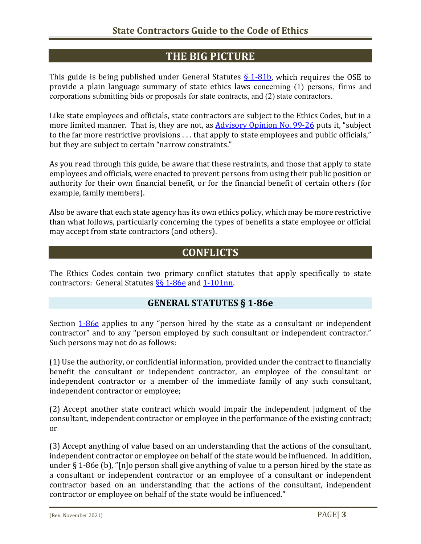# **THE BIG PICTURE**

This guide is being published under General Statutes  $\S$  1-81b, which requires the OSE to provide a plain language summary of state ethics laws concerning (1) persons, firms and corporations submitting bids or proposals for state contracts, and (2) state contractors.

Like state employees and officials, state contractors are subject to the Ethics Codes, but in a more limited manner. That is, they are not, as [Advisory Opinion No. 99-26](http://www.ct.gov/ethics/cwp/view.asp?a=2305&q=301354) puts it, "subject to the far more restrictive provisions . . . that apply to state employees and public officials," but they are subject to certain "narrow constraints."

As you read through this guide, be aware that these restraints, and those that apply to state employees and officials, were enacted to prevent persons from using their public position or authority for their own financial benefit, or for the financial benefit of certain others (for example, family members).

Also be aware that each state agency has its own ethics policy, which may be more restrictive than what follows, particularly concerning the types of benefits a state employee or official may accept from state contractors (and others).

# **CONFLICTS**

The Ethics Codes contain two primary conflict statutes that apply specifically to state contractors: General Statutes SS 1-86e and [1-101nn.](https://www.cga.ct.gov/current/pub/chap_010.htm#sec_1-101nn)

#### **GENERAL STATUTES § 1-86e**

Section  $1-86e$  applies to any "person hired by the state as a consultant or independent contractor" and to any "person employed by such consultant or independent contractor." Such persons may not do as follows:

(1) Use the authority, or confidential information, provided under the contract to financially benefit the consultant or independent contractor, an employee of the consultant or independent contractor or a member of the immediate family of any such consultant, independent contractor or employee;

(2) Accept another state contract which would impair the independent judgment of the consultant, independent contractor or employee in the performance of the existing contract; or

(3) Accept anything of value based on an understanding that the actions of the consultant, independent contractor or employee on behalf of the state would be influenced. In addition, under § 1-86e (b), "[n]o person shall give anything of value to a person hired by the state as a consultant or independent contractor or an employee of a consultant or independent contractor based on an understanding that the actions of the consultant, independent contractor or employee on behalf of the state would be influenced."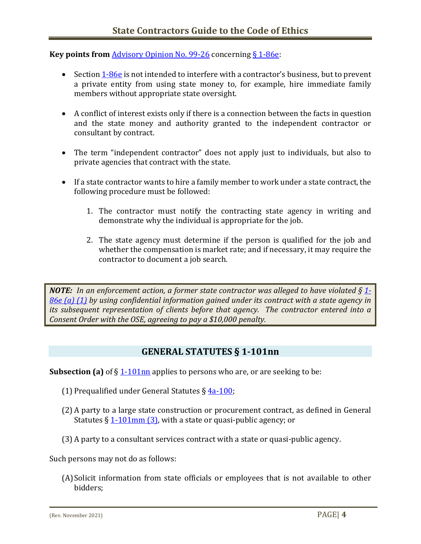**Key points from** [Advisory Opinion No. 99-26](http://www.ct.gov/ethics/cwp/view.asp?a=2305&q=301354) concernin[g § 1-86e:](https://www.cga.ct.gov/current/pub/chap_010.htm#sec_1-86e)

- Section [1-86e](https://www.cga.ct.gov/current/pub/chap_010.htm#sec_1-86e) is not intended to interfere with a contractor's business, but to prevent a private entity from using state money to, for example, hire immediate family members without appropriate state oversight.
- A conflict of interest exists only if there is a connection between the facts in question and the state money and authority granted to the independent contractor or consultant by contract.
- The term "independent contractor" does not apply just to individuals, but also to private agencies that contract with the state.
- If a state contractor wants to hire a family member to work under a state contract, the following procedure must be followed:
	- 1. The contractor must notify the contracting state agency in writing and demonstrate why the individual is appropriate for the job.
	- 2. The state agency must determine if the person is qualified for the job and whether the compensation is market rate; and if necessary, it may require the contractor to document a job search.

*NOTE: In an enforcement action, a former state contractor was alleged to have violated § [1-](https://www.cga.ct.gov/current/pub/chap_010.htm#sec_1-86e) [86e \(a\) \(1\)](https://www.cga.ct.gov/current/pub/chap_010.htm#sec_1-86e) by using confidential information gained under its contract with a state agency in its subsequent representation of clients before that agency. The contractor entered into a Consent Order with the OSE, agreeing to pay a \$10,000 penalty.* 

#### **GENERAL STATUTES § 1-101nn**

**Subsection (a)** of § [1-101nn](https://www.cga.ct.gov/current/pub/chap_010.htm#sec_1-101nn) applies to persons who are, or are seeking to be:

- (1) Prequalified under General Statutes § [4a-100;](https://www.cga.ct.gov/current/pub/chap_058a.htm#sec_4a-100)
- (2) A party to a large state construction or procurement contract, as defined in General Statutes  $\S 1-101$ mm  $\S 3$ , with a state or quasi-public agency; or
- (3) A party to a consultant services contract with a state or quasi-public agency.

Such persons may not do as follows:

(A)Solicit information from state officials or employees that is not available to other bidders;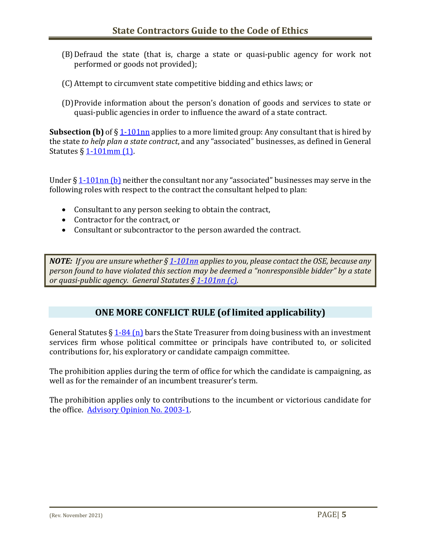- (B)Defraud the state (that is, charge a state or quasi-public agency for work not performed or goods not provided);
- (C) Attempt to circumvent state competitive bidding and ethics laws; or
- (D)Provide information about the person's donation of goods and services to state or quasi-public agencies in order to influence the award of a state contract.

**Subsection (b)** of § [1-101nn](https://www.cga.ct.gov/current/pub/chap_010.htm#sec_1-101nn) applies to a more limited group: Any consultant that is hired by the state *to help plan a state contract*, and any "associated" businesses, as defined in General Statutes  $\S 1-101$ mm  $(1)$ .

Under  $\S 1-101$ nn (b) neither the consultant nor any "associated" businesses may serve in the following roles with respect to the contract the consultant helped to plan:

- Consultant to any person seeking to obtain the contract,
- Contractor for the contract, or
- Consultant or subcontractor to the person awarded the contract.

*NOTE: If you are unsure whether [§ 1-101nn](https://www.cga.ct.gov/current/pub/chap_010.htm#sec_1-101nn) appliesto you, please contact the OSE, because any person found to have violated this section may be deemed a "nonresponsible bidder" by a state or quasi-public agency. General Statutes § [1-101nn \(c\).](https://www.cga.ct.gov/current/pub/chap_010.htm#sec_1-101nn)*

#### **ONE MORE CONFLICT RULE (of limited applicability)**

General Statutes  $\S 1-84$  (n) bars the State Treasurer from doing business with an investment services firm whose political committee or principals have contributed to, or solicited contributions for, his exploratory or candidate campaign committee.

The prohibition applies during the term of office for which the candidate is campaigning, as well as for the remainder of an incumbent treasurer's term.

The prohibition applies only to contributions to the incumbent or victorious candidate for the office. [Advisory Opinion No. 2003-1.](http://www.ct.gov/ethics/cwp/view.asp?a=2305&q=301538)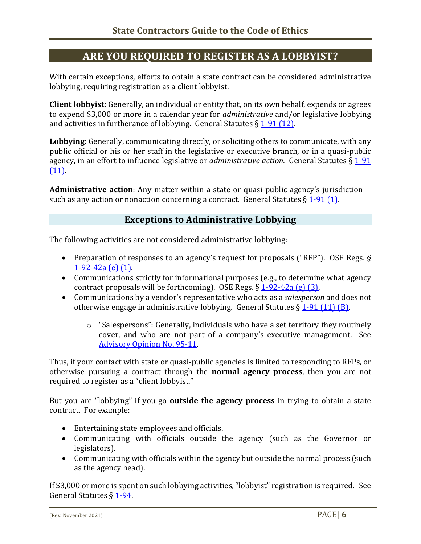# **ARE YOU REQUIRED TO REGISTER AS A LOBBYIST?**

With certain exceptions, efforts to obtain a state contract can be considered administrative lobbying, requiring registration as a client lobbyist.

**Client lobbyist**: Generally, an individual or entity that, on its own behalf, expends or agrees to expend \$3,000 or more in a calendar year for *administrative* and/or legislative lobbying and activities in furtherance of lobbying. General Statutes  $\S 1-91$  (12).

**Lobbying**: Generally, communicating directly, or soliciting others to communicate, with any public official or his or her staff in the legislative or executive branch, or in a quasi-public agency, in an effort to influence legislative or *administrative action*. General Statutes § [1-91](https://www.cga.ct.gov/current/pub/chap_010.htm#sec_1-91)  [\(11\).](https://www.cga.ct.gov/current/pub/chap_010.htm#sec_1-91)

**Administrative action**: Any matter within a state or quasi-public agency's jurisdiction such as any action or nonaction concerning a contract. General Statutes  $\S 1-91$  (1).

#### **Exceptions to Administrative Lobbying**

The following activities are not considered administrative lobbying:

- Preparation of responses to an agency's request for proposals ("RFP"). OSE Regs. § [1-92-42a \(e\) \(1\).](http://www.sots.ct.gov/sots/lib/sots/regulations/title_01/092.pdf)
- Communications strictly for informational purposes (e.g., to determine what agency contract proposals will be forthcoming). OSE Regs.  $\S 1-92-42a$  (e) (3).
- Communications by a vendor's representative who acts as a *salesperson* and does not otherwise engage in administrative lobbying. General Statutes  $\S 1-91$  (11) (B).
	- o "Salespersons": Generally, individuals who have a set territory they routinely cover, and who are not part of a company's executive management. See [Advisory Opinion No. 95-11.](http://www.ct.gov/ethics/cwp/view.asp?a=2305&q=301112)

Thus, if your contact with state or quasi-public agencies is limited to responding to RFPs, or otherwise pursuing a contract through the **normal agency process**, then you are not required to register as a "client lobbyist."

But you are "lobbying" if you go **outside the agency process** in trying to obtain a state contract. For example:

- Entertaining state employees and officials.
- Communicating with officials outside the agency (such as the Governor or legislators).
- Communicating with officials within the agency but outside the normal process (such as the agency head).

If \$3,000 or more is spent on such lobbying activities, "lobbyist" registration is required. See General Statutes § [1-94.](https://www.cga.ct.gov/current/pub/chap_010.htm#sec_1-94)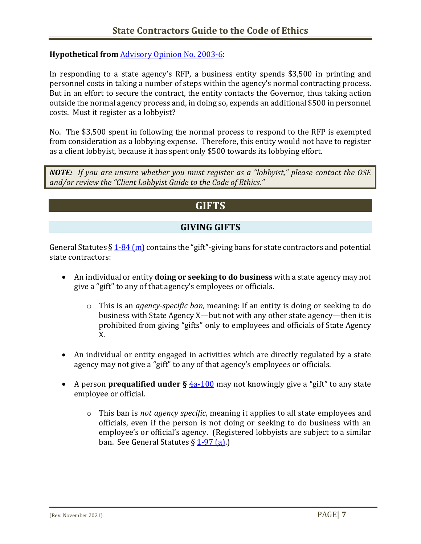#### **Hypothetical from** [Advisory Opinion No. 2003-6:](http://www.ct.gov/ethics/cwp/view.asp?a=2305&q=301572)

In responding to a state agency's RFP, a business entity spends \$3,500 in printing and personnel costs in taking a number of steps within the agency's normal contracting process. But in an effort to secure the contract, the entity contacts the Governor, thus taking action outside the normal agency process and, in doing so, expends an additional \$500 in personnel costs. Must it register as a lobbyist?

No. The \$3,500 spent in following the normal process to respond to the RFP is exempted from consideration as a lobbying expense. Therefore, this entity would not have to register as a client lobbyist, because it has spent only \$500 towards its lobbying effort.

*NOTE: If you are unsure whether you must register as a "lobbyist," please contact the OSE and/or review the "Client Lobbyist Guide to the Code of Ethics."* 

## **GIFTS**

#### **GIVING GIFTS**

General Statutes  $\S 1-84$  (m) contains the "gift"-giving bans for state contractors and potential state contractors:

- An individual or entity **doing or seeking to do business** with a state agency may not give a "gift" to any of that agency's employees or officials.
	- o This is an *agency-specific ban*, meaning: If an entity is doing or seeking to do business with State Agency X—but not with any other state agency—then it is prohibited from giving "gifts" only to employees and officials of State Agency X.
- An individual or entity engaged in activities which are directly regulated by a state agency may not give a "gift" to any of that agency's employees or officials.
- A person **prequalified under §**  $4a-100$  may not knowingly give a "gift" to any state employee or official.
	- o This ban is *not agency specific*, meaning it applies to all state employees and officials, even if the person is not doing or seeking to do business with an employee's or official's agency. (Registered lobbyists are subject to a similar ban. See General Statutes  $\S$  [1-97 \(a\).](https://www.cga.ct.gov/current/pub/chap_010.htm#sec_1-97))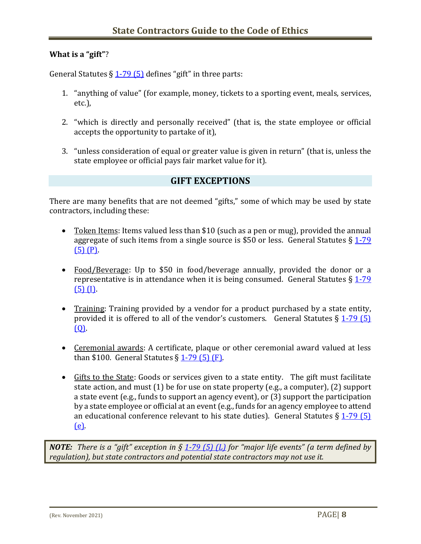#### **What is a "gift"**?

General Statutes  $\S 1-79$  (5) defines "gift" in three parts:

- 1. "anything of value" (for example, money, tickets to a sporting event, meals, services, etc.),
- 2. "which is directly and personally received" (that is, the state employee or official accepts the opportunity to partake of it),
- 3. "unless consideration of equal or greater value is given in return" (that is, unless the state employee or official pays fair market value for it).

#### **GIFT EXCEPTIONS**

There are many benefits that are not deemed "gifts," some of which may be used by state contractors, including these:

- Token Items: Items valued less than \$10 (such as a pen or mug), provided the annual aggregate of such items from a single source is \$50 or less. General Statutes  $\S 1-79$  $(5)$   $(P)$ .
- Food/Beverage: Up to \$50 in food/beverage annually, provided the donor or a representative is in attendance when it is being consumed. General Statutes  $\S 1-79$  $(5)$  (I).
- Training: Training provided by a vendor for a product purchased by a state entity, provided it is offered to all of the vendor's customers. General Statutes  $\S$  1-79 (5)  $(0)$ .
- Ceremonial awards: A certificate, plaque or other ceremonial award valued at less than \$100. General Statutes  $\S$  [1-79 \(5\) \(F\).](https://www.cga.ct.gov/current/pub/chap_010.htm#sec_1-79)
- Gifts to the State: Goods or services given to a state entity. The gift must facilitate state action, and must (1) be for use on state property (e.g., a computer), (2) support a state event (e.g., funds to support an agency event), or (3) support the participation by a state employee or official at an event (e.g., funds for an agency employee to attend an educational conference relevant to his state duties). General Statutes  $\S 1-79(5)$ [\(e\).](https://www.cga.ct.gov/current/pub/chap_010.htm#sec_1-79)

*NOTE: There is a "gift" exception in § [1-79 \(5\) \(L\)](https://www.cga.ct.gov/current/pub/chap_010.htm#sec_1-79) for "major life events" (a term defined by regulation), but state contractors and potential state contractors may not use it.*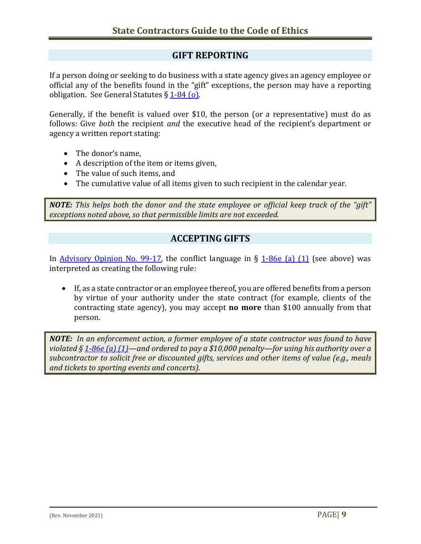#### **GIFT REPORTING**

If a person doing or seeking to do business with a state agency gives an agency employee or official any of the benefits found in the "gift" exceptions, the person may have a reporting obligation. See General Statutes § [1-84 \(o\).](https://www.cga.ct.gov/current/pub/chap_010.htm#sec_1-84) 

Generally, if the benefit is valued over \$10, the person (or a representative) must do as follows: Give *both* the recipient *and* the executive head of the recipient's department or agency a written report stating:

- The donor's name,
- A description of the item or items given,
- The value of such items, and
- The cumulative value of all items given to such recipient in the calendar year.

*NOTE: This helps both the donor and the state employee or official keep track of the "gift" exceptions noted above, so that permissible limits are not exceeded.*

#### **ACCEPTING GIFTS**

In [Advisory Opinion No. 99-17,](http://www.ct.gov/ethics/cwp/view.asp?a=2305&q=301334) the conflict language in  $\S$  [1-86e \(a\)](https://www.cga.ct.gov/current/pub/chap_010.htm#sec_1-86e) (1) (see above) was interpreted as creating the following rule:

• If, as a state contractor or an employee thereof, you are offered benefits from a person by virtue of your authority under the state contract (for example, clients of the contracting state agency), you may accept **no more** than \$100 annually from that person.

*NOTE: In an enforcement action, a former employee of a state contractor was found to have violated § [1-86e \(a\) \(1\)—](https://www.cga.ct.gov/current/pub/chap_010.htm#sec_1-86e)and ordered to pay a \$10,000 penalty—for using his authority over a subcontractor to solicit free or discounted gifts, services and other items of value (e.g., meals and tickets to sporting events and concerts).*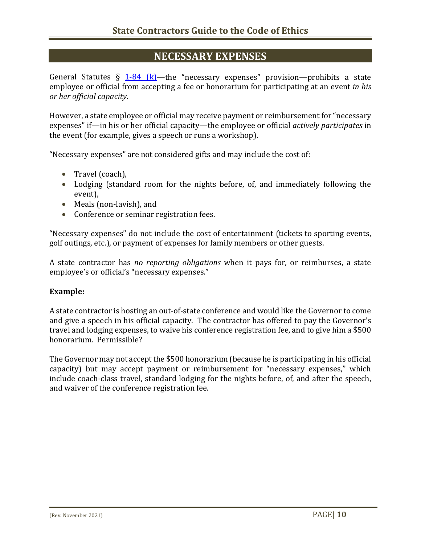#### **NECESSARY EXPENSES**

General Statutes  $\S$  [1-84 \(k\)—](https://www.cga.ct.gov/current/pub/chap_010.htm#sec_1-84)the "necessary expenses" provision—prohibits a state employee or official from accepting a fee or honorarium for participating at an event *in his or her official capacity*.

However, a state employee or official may receive payment or reimbursement for "necessary expenses" if—in his or her official capacity—the employee or official *actively participates* in the event (for example, gives a speech or runs a workshop).

"Necessary expenses" are not considered gifts and may include the cost of:

- Travel (coach),
- Lodging (standard room for the nights before, of, and immediately following the event),
- Meals (non-lavish), and
- Conference or seminar registration fees.

"Necessary expenses" do not include the cost of entertainment (tickets to sporting events, golf outings, etc.), or payment of expenses for family members or other guests.

A state contractor has *no reporting obligations* when it pays for, or reimburses, a state employee's or official's "necessary expenses."

#### **Example:**

A state contractor is hosting an out-of-state conference and would like the Governor to come and give a speech in his official capacity. The contractor has offered to pay the Governor's travel and lodging expenses, to waive his conference registration fee, and to give him a \$500 honorarium. Permissible?

The Governor may not accept the \$500 honorarium (because he is participating in his official capacity) but may accept payment or reimbursement for "necessary expenses," which include coach-class travel, standard lodging for the nights before, of, and after the speech, and waiver of the conference registration fee.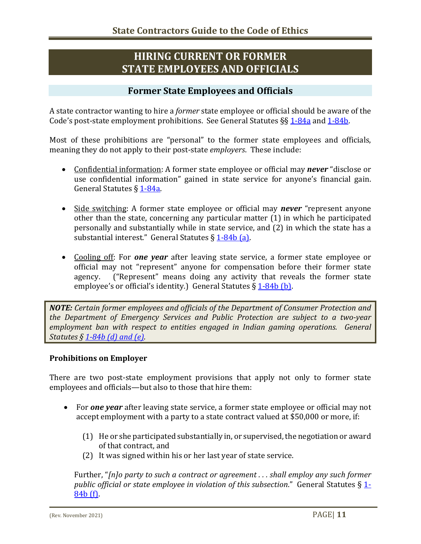# **HIRING CURRENT OR FORMER STATE EMPLOYEES AND OFFICIALS**

#### **Former State Employees and Officials**

A state contractor wanting to hire a *former* state employee or official should be aware of the Code's post-state employment prohibitions. See General Statutes §§ [1-84a](https://www.cga.ct.gov/current/pub/chap_010.htm#sec_1-84a) and [1-84b.](https://www.cga.ct.gov/current/pub/chap_010.htm#sec_1-84b)

Most of these prohibitions are "personal" to the former state employees and officials, meaning they do not apply to their post-state *employers*. These include:

- Confidential information: A former state employee or official may *never* "disclose or use confidential information" gained in state service for anyone's financial gain. General Statutes § [1-84a.](https://www.cga.ct.gov/current/pub/chap_010.htm#sec_1-84a)
- Side switching: A former state employee or official may *never* "represent anyone other than the state, concerning any particular matter (1) in which he participated personally and substantially while in state service, and (2) in which the state has a substantial interest." General Statutes § [1-84b \(a\).](https://www.cga.ct.gov/current/pub/chap_010.htm#sec_1-84b)
- Cooling off: For *one year* after leaving state service, a former state employee or official may not "represent" anyone for compensation before their former state<br>agency. ("Represent" means doing any activity that reveals the former state ("Represent" means doing any activity that reveals the former state employee's or official's identity.) General Statutes  $\S 1-84b$  (b).

*NOTE: Certain former employees and officials of the Department of Consumer Protection and the Department of Emergency Services and Public Protection are subject to a two-year employment ban with respect to entities engaged in Indian gaming operations. General Statutes § [1-84b \(d\) and \(e\).](https://www.cga.ct.gov/current/pub/chap_010.htm#sec_1-84b)*

#### **Prohibitions on Employer**

There are two post-state employment provisions that apply not only to former state employees and officials—but also to those that hire them:

- For *one year* after leaving state service, a former state employee or official may not accept employment with a party to a state contract valued at \$50,000 or more, if:
	- (1) He or she participated substantially in, or supervised, the negotiation or award of that contract, and
	- (2) It was signed within his or her last year of state service.

Further, "*[n]o party to such a contract or agreement . . . shall employ any such former public official or state employee in violation of this subsection*." General Statutes § [1-](https://www.cga.ct.gov/current/pub/chap_010.htm#sec_1-84b) [84b \(f\).](https://www.cga.ct.gov/current/pub/chap_010.htm#sec_1-84b)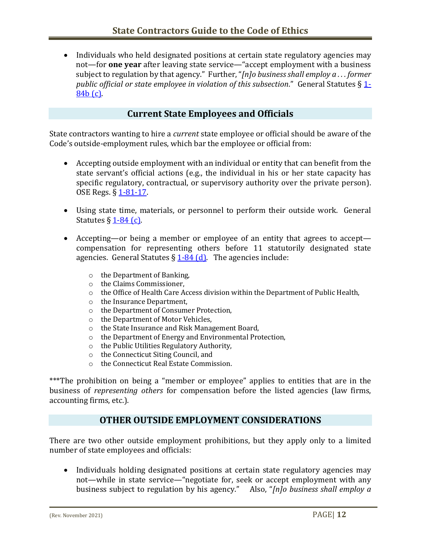• Individuals who held designated positions at certain state regulatory agencies may not—for **one year** after leaving state service—"accept employment with a business subject to regulation by that agency." Further, "*[n]o business shall employ a . . . former public official or state employee in violation of this subsection*." General Statutes § [1-](https://www.cga.ct.gov/current/pub/chap_010.htm#sec_1-84b) [84b \(c\).](https://www.cga.ct.gov/current/pub/chap_010.htm#sec_1-84b)

#### **Current State Employees and Officials**

State contractors wanting to hire a *current* state employee or official should be aware of the Code's outside-employment rules, which bar the employee or official from:

- Accepting outside employment with an individual or entity that can benefit from the state servant's official actions (e.g., the individual in his or her state capacity has specific regulatory, contractual, or supervisory authority over the private person). OSE Regs. § [1-81-17.](http://www.sots.ct.gov/sots/lib/sots/regulations/title_01/081.pdf)
- Using state time, materials, or personnel to perform their outside work. General Statutes  $\S$  [1-84 \(c\).](https://www.cga.ct.gov/current/pub/chap_010.htm#sec_1-84)
- Accepting—or being a member or employee of an entity that agrees to accept compensation for representing others before 11 statutorily designated state agencies. General Statutes  $\S 1-84$  (d). The agencies include:
	- o the Department of Banking,
	- o the Claims Commissioner,
	- $\circ$  the Office of Health Care Access division within the Department of Public Health,
	- o the Insurance Department,
	- o the Department of Consumer Protection,
	-
	- o the Department of Motor Vehicles,<br>
	o the State Insurance and Risk Manag
	- $\circ$  the State Insurance and Risk Management Board,<br> $\circ$  the Department of Energy and Environmental Pro the Department of Energy and Environmental Protection,
	- o the Public Utilities Regulatory Authority,
	- o the Connecticut Siting Council, and
	- o the Connecticut Real Estate Commission.

\*\*\*The prohibition on being a "member or employee" applies to entities that are in the business of *representing others* for compensation before the listed agencies (law firms, accounting firms, etc.).

#### **OTHER OUTSIDE EMPLOYMENT CONSIDERATIONS**

There are two other outside employment prohibitions, but they apply only to a limited number of state employees and officials:

• Individuals holding designated positions at certain state regulatory agencies may not—while in state service—"negotiate for, seek or accept employment with any business subject to regulation by his agency." Also, "*[n]o business shall employ a*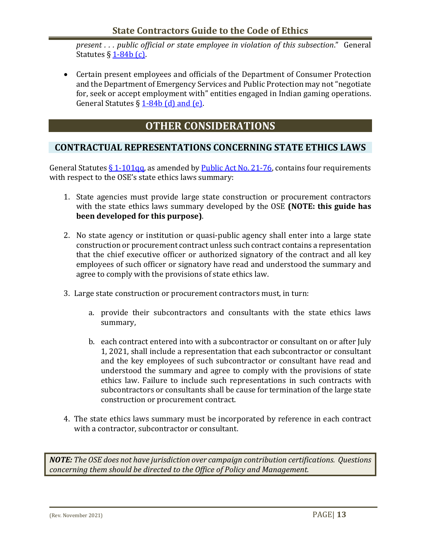#### **State Contractors Guide to the Code of Ethics**

*present . . . public official or state employee in violation of this subsection*." General Statutes  $\S 1-84b(c)$ .

• Certain present employees and officials of the Department of Consumer Protection and the Department of Emergency Services and Public Protection may not "negotiate for, seek or accept employment with" entities engaged in Indian gaming operations. General Statutes  $\S 1-84b$  (d) and (e).

#### **OTHER CONSIDERATIONS**

#### **CONTRACTUAL REPRESENTATIONS CONCERNING STATE ETHICS LAWS**

General Statutes  $\S 1$ -101qq, as amended b[y Public Act No. 21-76,](https://www.cga.ct.gov/2021/ACT/PA/PDF/2021PA-00076-R00HB-06444-PA.PDF) contains four requirements with respect to the OSE's state ethics laws summary:

- 1. State agencies must provide large state construction or procurement contractors with the state ethics laws summary developed by the OSE **(NOTE: this guide has been developed for this purpose)**.
- 2. No state agency or institution or quasi-public agency shall enter into a large state construction or procurement contract unless such contract contains a representation that the chief executive officer or authorized signatory of the contract and all key employees of such officer or signatory have read and understood the summary and agree to comply with the provisions of state ethics law.
- 3. Large state construction or procurement contractors must, in turn:
	- a. provide their subcontractors and consultants with the state ethics laws summary,
	- b. each contract entered into with a subcontractor or consultant on or after July 1, 2021, shall include a representation that each subcontractor or consultant and the key employees of such subcontractor or consultant have read and understood the summary and agree to comply with the provisions of state ethics law. Failure to include such representations in such contracts with subcontractors or consultants shall be cause for termination of the large state construction or procurement contract.
- 4. The state ethics laws summary must be incorporated by reference in each contract with a contractor, subcontractor or consultant.

*NOTE: The OSE does not have jurisdiction over campaign contribution certifications. Questions concerning them should be directed to the Office of Policy and Management.*